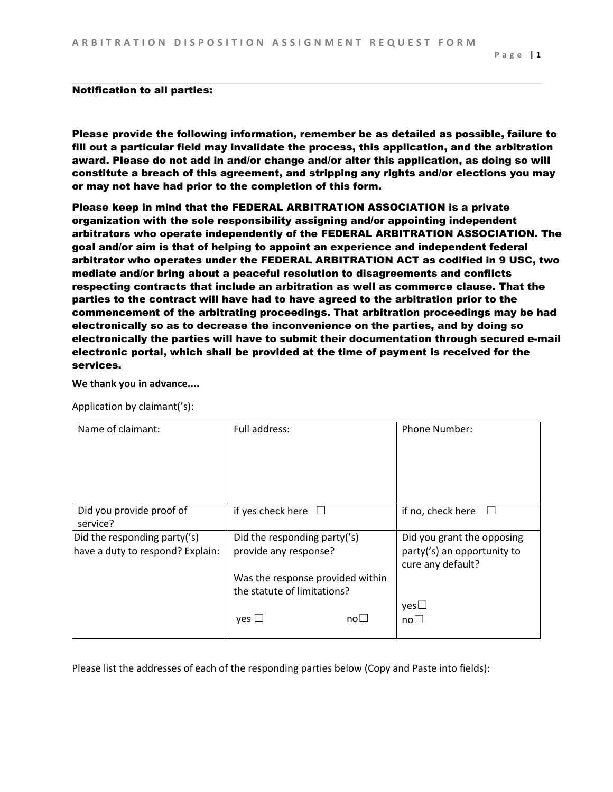## Notification to all parties:

Please provide the following information, remember be as detailed as possible, failure to fill out a particular field may invalidate the process, this application, and the arbitration award. Please do not add in and/or change and/or alter this application, as doing so will constitute a breach of this agreement, and stripping any rights and/or elections you may or may not have had prior to the completion of this form.

Please keep in mind that the FEDERAL ARBITRATION ASSOCIATION is a private organization with the sole responsibility assigning and/or appointing independent arbitrators who operate independently of the FEDERAL ARBITRATION ASSOCIATION. The goal and/or aim is that of helping to appoint an experience and independent federal arbitrator who operates under the FEDERAL ARBITRATION ACT as codified in 9 USC, two mediate and/or bring about a peaceful resolution to disagreements and conflicts respecting contracts that include an arbitration as well as commerce clause. That the parties to the contract will have had to have agreed to the arbitration prior to the commencement of the arbitrating proceedings. That arbitration proceedings may be had electronically so as to decrease the inconvenience on the parties, and by doing so electronically the parties will have to submit their documentation through secured e-mail electronic portal, which shall be provided at the time of payment is received for the services.

**We thank you in advance....**

Application by claimant('s):

| Name of claimant:                                                | Full address:                                         | <b>Phone Number:</b>                                                           |
|------------------------------------------------------------------|-------------------------------------------------------|--------------------------------------------------------------------------------|
| Did you provide proof of<br>service?                             | if yes check here $\Box$                              | if no, check here                                                              |
| Did the responding party('s)<br>have a duty to respond? Explain: | Did the responding party('s)<br>provide any response? | Did you grant the opposing<br>party('s) an opportunity to<br>cure any default? |
|                                                                  | Was the response provided within                      |                                                                                |
|                                                                  | the statute of limitations?                           |                                                                                |
|                                                                  | $\mathsf{no}\square$<br>ves L                         | yes<br>$no\square$                                                             |

Please list the addresses of each of the responding parties below (Copy and Paste into fields):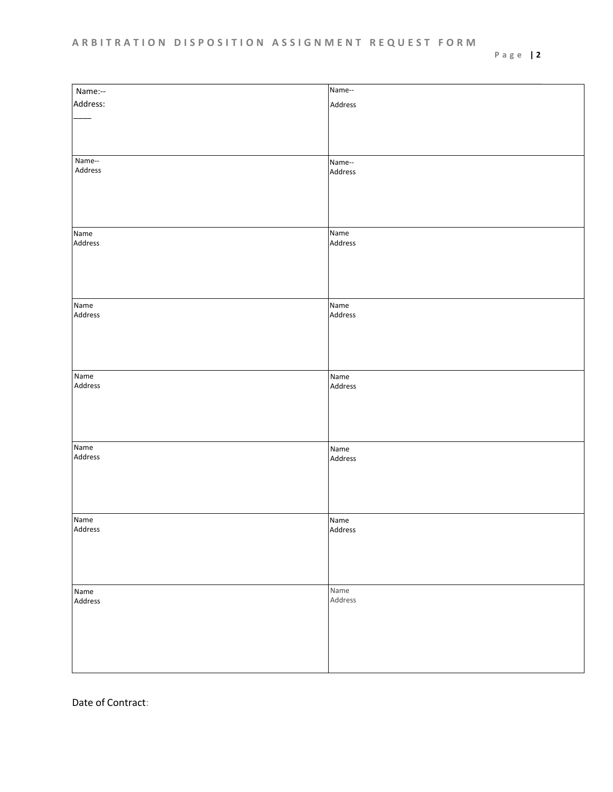## **A R B I T R A T I O N D I S P O S I T I O N A S S I G N M E N T R E Q U E S T F O R M**

| Name:--                    | Name--  |
|----------------------------|---------|
| Address:                   | Address |
|                            |         |
|                            |         |
|                            |         |
|                            |         |
|                            |         |
| Name--                     | Name--  |
| Address                    | Address |
|                            |         |
|                            |         |
|                            |         |
|                            |         |
|                            |         |
| Name                       | Name    |
| Address                    | Address |
|                            |         |
|                            |         |
|                            |         |
|                            |         |
|                            |         |
| Name                       | Name    |
| Address                    | Address |
|                            |         |
|                            |         |
|                            |         |
|                            |         |
|                            |         |
| Name                       | Name    |
| Address                    | Address |
|                            |         |
|                            |         |
|                            |         |
|                            |         |
|                            |         |
| $\overline{\mathsf{Name}}$ | Name    |
| Address                    | Address |
|                            |         |
|                            |         |
|                            |         |
|                            |         |
|                            |         |
| Name                       | Name    |
| Address                    | Address |
|                            |         |
|                            |         |
|                            |         |
|                            |         |
|                            |         |
| Name                       | Name    |
| Address                    | Address |
|                            |         |
|                            |         |
|                            |         |
|                            |         |
|                            |         |
|                            |         |
|                            |         |

Date of Contract: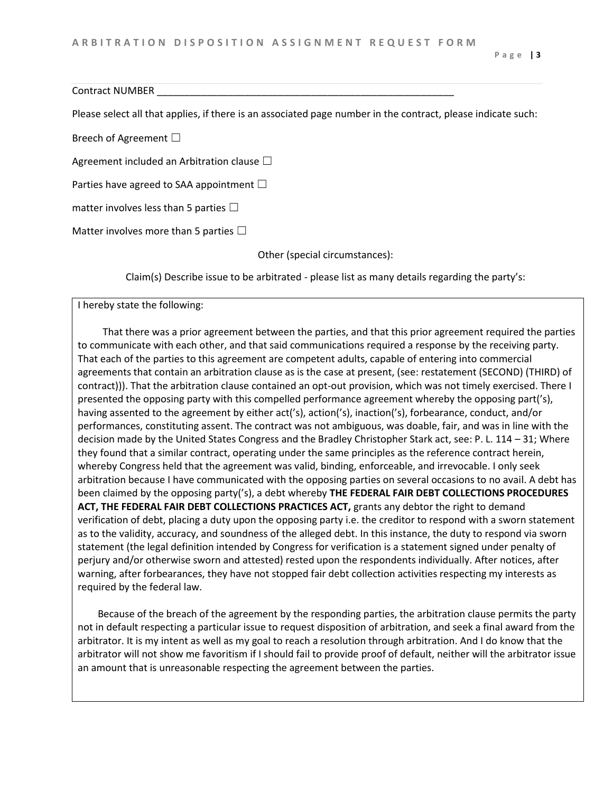Contract NUMBER

Please select all that applies, if there is an associated page number in the contract, please indicate such:

Breech of Agreement □

Agreement included an Arbitration clause  $\Box$ 

Parties have agreed to SAA appointment  $\Box$ 

matter involves less than 5 parties  $\Box$ 

Matter involves more than 5 parties  $\Box$ 

Other (special circumstances):

Claim(s) Describe issue to be arbitrated - please list as many details regarding the party's:

I hereby state the following:

 That there was a prior agreement between the parties, and that this prior agreement required the parties to communicate with each other, and that said communications required a response by the receiving party. That each of the parties to this agreement are competent adults, capable of entering into commercial agreements that contain an arbitration clause as is the case at present, (see: restatement (SECOND) (THIRD) of contract))). That the arbitration clause contained an opt-out provision, which was not timely exercised. There I presented the opposing party with this compelled performance agreement whereby the opposing part('s), having assented to the agreement by either act('s), action('s), inaction('s), forbearance, conduct, and/or performances, constituting assent. The contract was not ambiguous, was doable, fair, and was in line with the decision made by the United States Congress and the Bradley Christopher Stark act, see: P. L. 114 – 31; Where they found that a similar contract, operating under the same principles as the reference contract herein, whereby Congress held that the agreement was valid, binding, enforceable, and irrevocable. I only seek arbitration because I have communicated with the opposing parties on several occasions to no avail. A debt has been claimed by the opposing party('s), a debt whereby **THE FEDERAL FAIR DEBT COLLECTIONS PROCEDURES ACT, THE FEDERAL FAIR DEBT COLLECTIONS PRACTICES ACT,** grants any debtor the right to demand verification of debt, placing a duty upon the opposing party i.e. the creditor to respond with a sworn statement as to the validity, accuracy, and soundness of the alleged debt. In this instance, the duty to respond via sworn statement (the legal definition intended by Congress for verification is a statement signed under penalty of perjury and/or otherwise sworn and attested) rested upon the respondents individually. After notices, after warning, after forbearances, they have not stopped fair debt collection activities respecting my interests as required by the federal law.

 Because of the breach of the agreement by the responding parties, the arbitration clause permits the party not in default respecting a particular issue to request disposition of arbitration, and seek a final award from the arbitrator. It is my intent as well as my goal to reach a resolution through arbitration. And I do know that the arbitrator will not show me favoritism if I should fail to provide proof of default, neither will the arbitrator issue an amount that is unreasonable respecting the agreement between the parties.